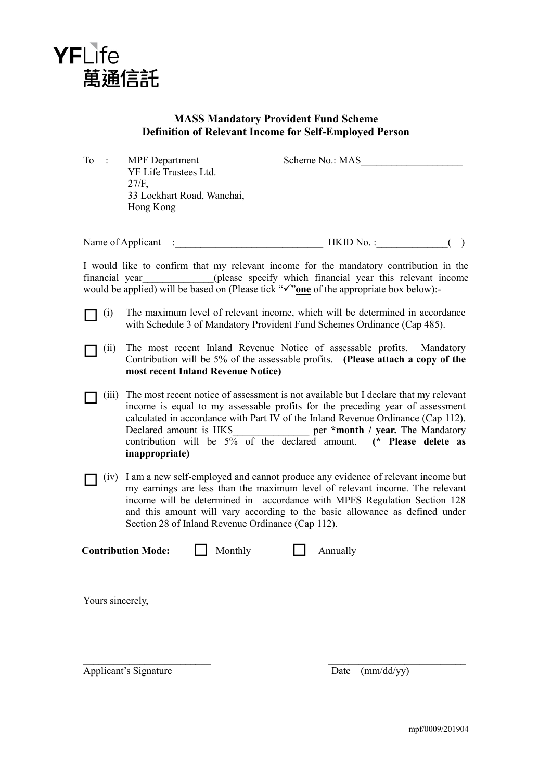

## **MASS Mandatory Provident Fund Scheme Definition of Relevant Income for Self-Employed Person**

To : MPF Department Scheme No.: MAS

YF Life Trustees Ltd. 27/F, 33 Lockhart Road, Wanchai, Hong Kong

Name of Applicant : The HKID No. : The HKID No. : Contract of Applicant in the HKID No. : Contract of  $\overline{a}$ 

I would like to confirm that my relevant income for the mandatory contribution in the financial year (please specify which financial year this relevant income would be applied) will be based on (Please tick " $\checkmark$ " one of the appropriate box below):

- $\Box$  (i) The maximum level of relevant income, which will be determined in accordance with Schedule 3 of Mandatory Provident Fund Schemes Ordinance (Cap 485).
- (ii) The most recent Inland Revenue Notice of assessable profits. Mandatory Contribution will be 5% of the assessable profits. **(Please attach a copy of the most recent Inland Revenue Notice)**
- $\Box$  (iii) The most recent notice of assessment is not available but I declare that my relevant income is equal to my assessable profits for the preceding year of assessment calculated in accordance with Part IV of the Inland Revenue Ordinance (Cap 112). Declared amount is HK\$\_\_\_\_\_\_\_\_\_\_\_\_\_\_\_ per **\*month / year.** The Mandatory contribution will be 5% of the declared amount. **(\* Please delete as inappropriate)**
- $\Box$  (iv) I am a new self-employed and cannot produce any evidence of relevant income but my earnings are less than the maximum level of relevant income. The relevant income will be determined in accordance with MPFS Regulation Section 128 and this amount will vary according to the basic allowance as defined under Section 28 of Inland Revenue Ordinance (Cap 112).

 $\mathcal{L}_\text{max}$  and the contract of the contract of the contract of the contract of the contract of the contract of

**Contribution Mode:** Monthly **Annually** 

Yours sincerely,

Applicant's Signature Date (mm/dd/yy)